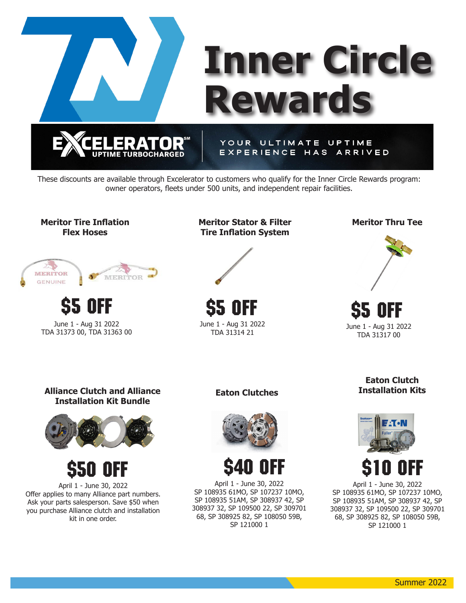

These discounts are available through Excelerator to customers who qualify for the Inner Circle Rewards program: owner operators, fleets under 500 units, and independent repair facilities.





June 1 - Aug 31 2022 TDA 31373 00, TDA 31363 00 \$5 OFF \$5 OFF \$5 OFF

**Meritor Stator & Filter Tire Inflation System**



\$5 off June 1 - Aug 31 2022 **Meritor Thru Tee**



June 1 - Aug 31 2022 TDA 31317 00

**Alliance Clutch and Alliance Installation Kit Bundle**





April 1 - June 30, 2022 Offer applies to many Alliance part numbers. Ask your parts salesperson. Save \$50 when you purchase Alliance clutch and installation kit in one order.

**Eaton Clutches**





April 1 - June 30, 2022 SP 108935 61MO, SP 107237 10MO, SP 108935 51AM, SP 308937 42, SP 308937 32, SP 109500 22, SP 309701 68, SP 308925 82, SP 108050 59B, SP 121000 1

**Eaton Clutch Installation Kits**



April 1 - June 30, 2022 SP 108935 61MO, SP 107237 10MO, SP 108935 51AM, SP 308937 42, SP 308937 32, SP 109500 22, SP 309701 68, SP 308925 82, SP 108050 59B, SP 121000 1